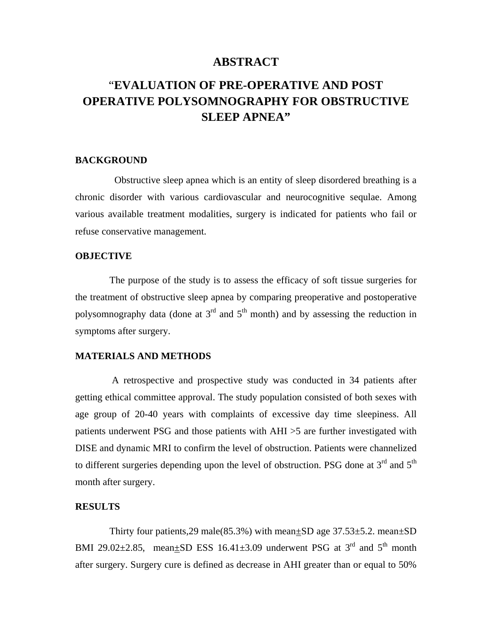## **ABSTRACT**

# "**EVALUATION OF PRE-OPERATIVE AND POST OPERATIVE POLYSOMNOGRAPHY FOR OBSTRUCTIVE SLEEP APNEA"**

## **BACKGROUND**

 Obstructive sleep apnea which is an entity of sleep disordered breathing is a chronic disorder with various cardiovascular and neurocognitive sequlae. Among various available treatment modalities, surgery is indicated for patients who fail or refuse conservative management.

#### **OBJECTIVE**

 The purpose of the study is to assess the efficacy of soft tissue surgeries for the treatment of obstructive sleep apnea by comparing preoperative and postoperative polysomnography data (done at  $3<sup>rd</sup>$  and  $5<sup>th</sup>$  month) and by assessing the reduction in symptoms after surgery.

## **MATERIALS AND METHODS**

 A retrospective and prospective study was conducted in 34 patients after getting ethical committee approval. The study population consisted of both sexes with age group of 20-40 years with complaints of excessive day time sleepiness. All patients underwent PSG and those patients with AHI >5 are further investigated with DISE and dynamic MRI to confirm the level of obstruction. Patients were channelized to different surgeries depending upon the level of obstruction. PSG done at  $3<sup>rd</sup>$  and  $5<sup>th</sup>$ month after surgery.

#### **RESULTS**

Thirty four patients,  $29 \text{ male}(85.3\%)$  with mean $\pm$ SD age  $37.53\pm5.2$ . mean $\pm$ SD BMI 29.02 $\pm$ 2.85, mean $\pm$ SD ESS 16.41 $\pm$ 3.09 underwent PSG at 3<sup>rd</sup> and 5<sup>th</sup> month after surgery. Surgery cure is defined as decrease in AHI greater than or equal to 50%